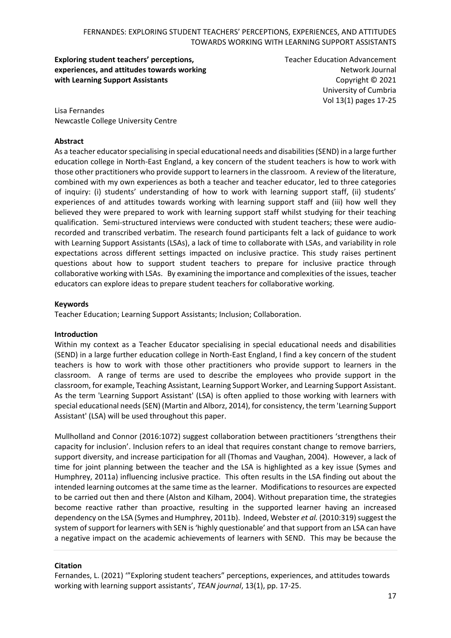**Exploring student teachers' perceptions, experiences, and attitudes towards working with Learning Support Assistants**

Teacher Education Advancement Network Journal Copyright © 2021 University of Cumbria Vol 13(1) pages 17-25

Lisa Fernandes Newcastle College University Centre

#### **Abstract**

As a teacher educator specialising in special educational needs and disabilities (SEND) in a large further education college in North-East England, a key concern of the student teachers is how to work with those other practitioners who provide support to learners in the classroom. A review of the literature, combined with my own experiences as both a teacher and teacher educator, led to three categories of inquiry: (i) students' understanding of how to work with learning support staff, (ii) students' experiences of and attitudes towards working with learning support staff and (iii) how well they believed they were prepared to work with learning support staff whilst studying for their teaching qualification. Semi-structured interviews were conducted with student teachers; these were audiorecorded and transcribed verbatim. The research found participants felt a lack of guidance to work with Learning Support Assistants (LSAs), a lack of time to collaborate with LSAs, and variability in role expectations across different settings impacted on inclusive practice. This study raises pertinent questions about how to support student teachers to prepare for inclusive practice through collaborative working with LSAs. By examining the importance and complexities of the issues, teacher educators can explore ideas to prepare student teachers for collaborative working.

#### **Keywords**

Teacher Education; Learning Support Assistants; Inclusion; Collaboration.

#### **Introduction**

Within my context as a Teacher Educator specialising in special educational needs and disabilities (SEND) in a large further education college in North-East England, I find a key concern of the student teachers is how to work with those other practitioners who provide support to learners in the classroom. A range of terms are used to describe the employees who provide support in the classroom, for example, Teaching Assistant, Learning Support Worker, and Learning Support Assistant. As the term 'Learning Support Assistant' (LSA) is often applied to those working with learners with special educational needs (SEN) (Martin and Alborz, 2014), for consistency, the term 'Learning Support Assistant' (LSA) will be used throughout this paper.

Mullholland and Connor (2016:1072) suggest collaboration between practitioners 'strengthens their capacity for inclusion'. Inclusion refers to an ideal that requires constant change to remove barriers, support diversity, and increase participation for all (Thomas and Vaughan, 2004). However, a lack of time for joint planning between the teacher and the LSA is highlighted as a key issue (Symes and Humphrey, 2011a) influencing inclusive practice. This often results in the LSA finding out about the intended learning outcomes at the same time as the learner. Modifications to resources are expected to be carried out then and there (Alston and Kilham, 2004). Without preparation time, the strategies become reactive rather than proactive, resulting in the supported learner having an increased dependency on the LSA (Symes and Humphrey, 2011b). Indeed, Webster *et al.* (2010:319) suggest the system of support for learners with SEN is 'highly questionable' and that support from an LSA can have a negative impact on the academic achievements of learners with SEND. This may be because the

#### **Citation**

Fernandes, L. (2021) '"Exploring student teachers" perceptions, experiences, and attitudes towards working with learning support assistants', *TEAN journal*, 13(1), pp. 17-25.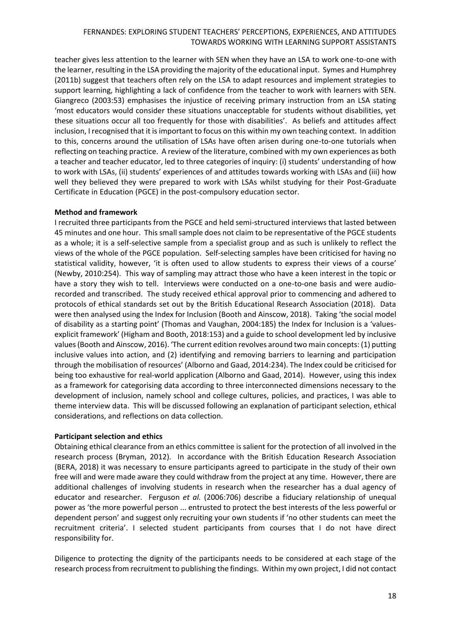teacher gives less attention to the learner with SEN when they have an LSA to work one-to-one with the learner, resulting in the LSA providing the majority of the educational input. Symes and Humphrey (2011b) suggest that teachers often rely on the LSA to adapt resources and implement strategies to support learning, highlighting a lack of confidence from the teacher to work with learners with SEN. Giangreco (2003:53) emphasises the injustice of receiving primary instruction from an LSA stating 'most educators would consider these situations unacceptable for students without disabilities, yet these situations occur all too frequently for those with disabilities'. As beliefs and attitudes affect inclusion, I recognised that it is important to focus on this within my own teaching context. In addition to this, concerns around the utilisation of LSAs have often arisen during one-to-one tutorials when reflecting on teaching practice. A review of the literature, combined with my own experiences as both a teacher and teacher educator, led to three categories of inquiry: (i) students' understanding of how to work with LSAs, (ii) students' experiences of and attitudes towards working with LSAs and (iii) how well they believed they were prepared to work with LSAs whilst studying for their Post-Graduate Certificate in Education (PGCE) in the post-compulsory education sector.

# **Method and framework**

I recruited three participants from the PGCE and held semi-structured interviews that lasted between 45 minutes and one hour. This small sample does not claim to be representative of the PGCE students as a whole; it is a self-selective sample from a specialist group and as such is unlikely to reflect the views of the whole of the PGCE population. Self-selecting samples have been criticised for having no statistical validity, however, 'it is often used to allow students to express their views of a course' (Newby, 2010:254). This way of sampling may attract those who have a keen interest in the topic or have a story they wish to tell. Interviews were conducted on a one-to-one basis and were audiorecorded and transcribed. The study received ethical approval prior to commencing and adhered to protocols of ethical standards set out by the British Educational Research Association (2018). Data were then analysed using the Index for Inclusion (Booth and Ainscow, 2018). Taking 'the social model of disability as a starting point' (Thomas and Vaughan, 2004:185) the Index for Inclusion is a 'valuesexplicit framework' (Higham and Booth, 2018:153) and a guide to school development led by inclusive values (Booth and Ainscow, 2016). 'The current edition revolves around two main concepts: (1) putting inclusive values into action, and (2) identifying and removing barriers to learning and participation through the mobilisation of resources' (Alborno and Gaad, 2014:234). The Index could be criticised for being too exhaustive for real-world application (Alborno and Gaad, 2014). However, using this index as a framework for categorising data according to three interconnected dimensions necessary to the development of inclusion, namely school and college cultures, policies, and practices, I was able to theme interview data. This will be discussed following an explanation of participant selection, ethical considerations, and reflections on data collection.

# **Participant selection and ethics**

Obtaining ethical clearance from an ethics committee is salient for the protection of all involved in the research process (Bryman, 2012). In accordance with the British Education Research Association (BERA, 2018) it was necessary to ensure participants agreed to participate in the study of their own free will and were made aware they could withdraw from the project at any time. However, there are additional challenges of involving students in research when the researcher has a dual agency of educator and researcher. Ferguson *et al.* (2006:706) describe a fiduciary relationship of unequal power as 'the more powerful person ... entrusted to protect the best interests of the less powerful or dependent person' and suggest only recruiting your own students if 'no other students can meet the recruitment criteria'. I selected student participants from courses that I do not have direct responsibility for.

Diligence to protecting the dignity of the participants needs to be considered at each stage of the research process from recruitment to publishing the findings. Within my own project, I did not contact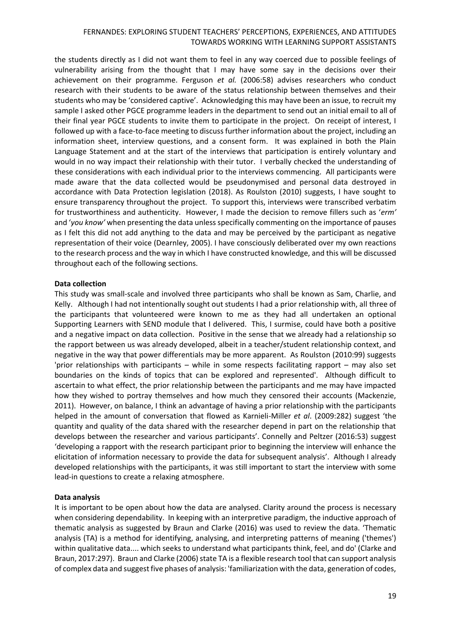the students directly as I did not want them to feel in any way coerced due to possible feelings of vulnerability arising from the thought that I may have some say in the decisions over their achievement on their programme. Ferguson *et al.* (2006:58) advises researchers who conduct research with their students to be aware of the status relationship between themselves and their students who may be 'considered captive'. Acknowledging this may have been an issue, to recruit my sample I asked other PGCE programme leaders in the department to send out an initial email to all of their final year PGCE students to invite them to participate in the project. On receipt of interest, I followed up with a face-to-face meeting to discuss further information about the project, including an information sheet, interview questions, and a consent form. It was explained in both the Plain Language Statement and at the start of the interviews that participation is entirely voluntary and would in no way impact their relationship with their tutor. I verbally checked the understanding of these considerations with each individual prior to the interviews commencing. All participants were made aware that the data collected would be pseudonymised and personal data destroyed in accordance with Data Protection legislation (2018). As Roulston (2010) suggests, I have sought to ensure transparency throughout the project. To support this, interviews were transcribed verbatim for trustworthiness and authenticity. However, I made the decision to remove fillers such as '*erm'* and '*you know'* when presenting the data unless specifically commenting on the importance of pauses as I felt this did not add anything to the data and may be perceived by the participant as negative representation of their voice (Dearnley, 2005). I have consciously deliberated over my own reactions to the research process and the way in which I have constructed knowledge, and this will be discussed throughout each of the following sections.

#### **Data collection**

This study was small-scale and involved three participants who shall be known as Sam, Charlie, and Kelly. Although I had not intentionally sought out students I had a prior relationship with, all three of the participants that volunteered were known to me as they had all undertaken an optional Supporting Learners with SEND module that I delivered. This, I surmise, could have both a positive and a negative impact on data collection. Positive in the sense that we already had a relationship so the rapport between us was already developed, albeit in a teacher/student relationship context, and negative in the way that power differentials may be more apparent. As Roulston (2010:99) suggests 'prior relationships with participants – while in some respects facilitating rapport – may also set boundaries on the kinds of topics that can be explored and represented'. Although difficult to ascertain to what effect, the prior relationship between the participants and me may have impacted how they wished to portray themselves and how much they censored their accounts (Mackenzie, 2011). However, on balance, I think an advantage of having a prior relationship with the participants helped in the amount of conversation that flowed as Karnieli-Miller *et al*. (2009:282) suggest 'the quantity and quality of the data shared with the researcher depend in part on the relationship that develops between the researcher and various participants'. Connelly and Peltzer (2016:53) suggest 'developing a rapport with the research participant prior to beginning the interview will enhance the elicitation of information necessary to provide the data for subsequent analysis'. Although I already developed relationships with the participants, it was still important to start the interview with some lead-in questions to create a relaxing atmosphere.

#### **Data analysis**

It is important to be open about how the data are analysed. Clarity around the process is necessary when considering dependability. In keeping with an interpretive paradigm, the inductive approach of thematic analysis as suggested by Braun and Clarke (2016) was used to review the data. 'Thematic analysis (TA) is a method for identifying, analysing, and interpreting patterns of meaning ('themes') within qualitative data.... which seeks to understand what participants think, feel, and do' (Clarke and Braun, 2017:297). Braun and Clarke (2006) state TA is a flexible research tool that can support analysis of complex data and suggest five phases of analysis: 'familiarization with the data, generation of codes,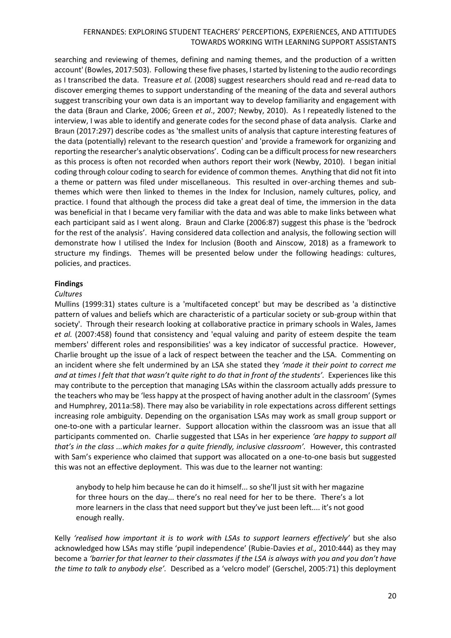searching and reviewing of themes, defining and naming themes, and the production of a written account' (Bowles, 2017:503). Following these five phases, I started by listening to the audio recordings as I transcribed the data. Treasure *et al.* (2008) suggest researchers should read and re-read data to discover emerging themes to support understanding of the meaning of the data and several authors suggest transcribing your own data is an important way to develop familiarity and engagement with the data (Braun and Clarke, 2006; Green *et al*., 2007; Newby, 2010). As I repeatedly listened to the interview, I was able to identify and generate codes for the second phase of data analysis. Clarke and Braun (2017:297) describe codes as 'the smallest units of analysis that capture interesting features of the data (potentially) relevant to the research question' and 'provide a framework for organizing and reporting the researcher's analytic observations'. Coding can be a difficult process for new researchers as this process is often not recorded when authors report their work (Newby, 2010). I began initial coding through colour coding to search for evidence of common themes. Anything that did not fit into a theme or pattern was filed under miscellaneous. This resulted in over-arching themes and subthemes which were then linked to themes in the Index for Inclusion, namely cultures, policy, and practice. I found that although the process did take a great deal of time, the immersion in the data was beneficial in that I became very familiar with the data and was able to make links between what each participant said as I went along. Braun and Clarke (2006:87) suggest this phase is the 'bedrock for the rest of the analysis'. Having considered data collection and analysis, the following section will demonstrate how I utilised the Index for Inclusion (Booth and Ainscow, 2018) as a framework to structure my findings. Themes will be presented below under the following headings: cultures, policies, and practices.

# **Findings**

# *Cultures*

Mullins (1999:31) states culture is a 'multifaceted concept' but may be described as 'a distinctive pattern of values and beliefs which are characteristic of a particular society or sub-group within that society'. Through their research looking at collaborative practice in primary schools in Wales, James *et al.* (2007:458) found that consistency and 'equal valuing and parity of esteem despite the team members' different roles and responsibilities' was a key indicator of successful practice. However, Charlie brought up the issue of a lack of respect between the teacher and the LSA. Commenting on an incident where she felt undermined by an LSA she stated they *'made it their point to correct me*  and at times I felt that that wasn't quite right to do that in front of the students'. Experiences like this may contribute to the perception that managing LSAs within the classroom actually adds pressure to the teachers who may be 'less happy at the prospect of having another adult in the classroom' (Symes and Humphrey, 2011a:58). There may also be variability in role expectations across different settings increasing role ambiguity. Depending on the organisation LSAs may work as small group support or one-to-one with a particular learner. Support allocation within the classroom was an issue that all participants commented on. Charlie suggested that LSAs in her experience *'are happy to support all that's in the class ...which makes for a quite friendly, inclusive classroom'.* However, this contrasted with Sam's experience who claimed that support was allocated on a one-to-one basis but suggested this was not an effective deployment. This was due to the learner not wanting:

anybody to help him because he can do it himself... so she'll just sit with her magazine for three hours on the day... there's no real need for her to be there. There's a lot more learners in the class that need support but they've just been left.... it's not good enough really.

Kelly *'realised how important it is to work with LSAs to support learners effectively'* but she also acknowledged how LSAs may stifle 'pupil independence' (Rubie-Davies *et al.,* 2010:444) as they may become a *'barrier for that learner to their classmates if the LSA is always with you and you don't have the time to talk to anybody else'.* Described as a 'velcro model' (Gerschel, 2005:71) this deployment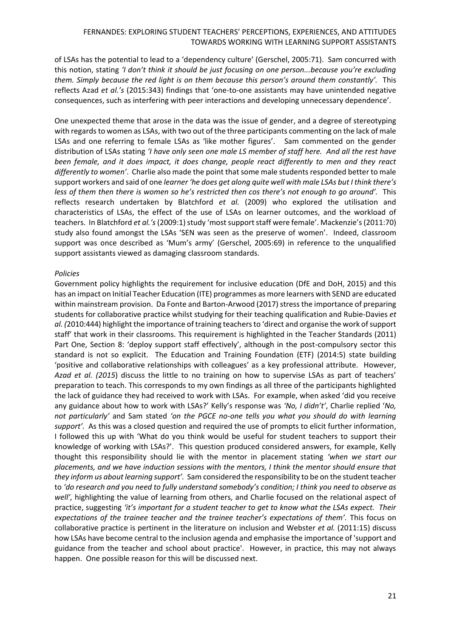of LSAs has the potential to lead to a 'dependency culture' (Gerschel, 2005:71). Sam concurred with this notion, stating *'I don't think it should be just focusing on one person...because you're excluding them. Simply because the red light is on them because this person's around them constantly'.* This reflects Azad *et al.'s* (2015:343) findings that 'one-to-one assistants may have unintended negative consequences, such as interfering with peer interactions and developing unnecessary dependence'.

One unexpected theme that arose in the data was the issue of gender, and a degree of stereotyping with regards to women as LSAs, with two out of the three participants commenting on the lack of male LSAs and one referring to female LSAs as 'like mother figures'. Sam commented on the gender distribution of LSAs stating *'I have only seen one male LS member of staff here. And all the rest have been female, and it does impact, it does change, people react differently to men and they react differently to women'*. Charlie also made the point that some male students responded better to male support workers and said of one *learner 'he does get along quite well with male LSAs but I think there's less of them then there is women so he's restricted then cos there's not enough to go around'.* This reflects research undertaken by Blatchford *et al.* (2009) who explored the utilisation and characteristics of LSAs, the effect of the use of LSAs on learner outcomes, and the workload of teachers. In Blatchford *et al.'s*(2009:1) study 'most support staff were female'. Mackenzie's (2011:70) study also found amongst the LSAs 'SEN was seen as the preserve of women'. Indeed, classroom support was once described as 'Mum's army' (Gerschel, 2005:69) in reference to the unqualified support assistants viewed as damaging classroom standards.

#### *Policies*

Government policy highlights the requirement for inclusive education (DfE and DoH, 2015) and this has an impact on Initial Teacher Education (ITE) programmes as more learners with SEND are educated within mainstream provision. Da Fonte and Barton-Arwood (2017) stressthe importance of preparing students for collaborative practice whilst studying for their teaching qualification and Rubie-Davies *et al. (*2010:444) highlight the importance of training teachers to 'direct and organise the work of support staff' that work in their classrooms. This requirement is highlighted in the Teacher Standards (2011) Part One, Section 8: 'deploy support staff effectively', although in the post-compulsory sector this standard is not so explicit. The Education and Training Foundation (ETF) (2014:5) state building 'positive and collaborative relationships with colleagues' as a key professional attribute. However, *Azad et al. (2015*) discuss the little to no training on how to supervise LSAs as part of teachers' preparation to teach. This corresponds to my own findings as all three of the participants highlighted the lack of guidance they had received to work with LSAs. For example, when asked 'did you receive any guidance about how to work with LSAs?' Kelly's response was *'No, I didn't'*, Charlie replied '*No, not particularly'* and Sam stated *'on the PGCE no-one tells you what you should do with learning support'.* As this was a closed question and required the use of prompts to elicit further information, I followed this up with 'What do you think would be useful for student teachers to support their knowledge of working with LSAs?'. This question produced considered answers, for example, Kelly thought this responsibility should lie with the mentor in placement stating *'when we start our placements, and we have induction sessions with the mentors, I think the mentor should ensure that they inform us about learning support'.* Sam considered the responsibility to be on the student teacher to *'do research and you need to fully understand somebody's condition; I think you need to observe as well',* highlighting the value of learning from others, and Charlie focused on the relational aspect of practice, suggesting *'it's important for a student teacher to get to know what the LSAs expect. Their expectations of the trainee teacher and the trainee teacher's expectations of them'.* This focus on collaborative practice is pertinent in the literature on inclusion and Webster *et al.* (2011:15) discuss how LSAs have become central to the inclusion agenda and emphasise the importance of 'support and guidance from the teacher and school about practice'. However, in practice, this may not always happen. One possible reason for this will be discussed next.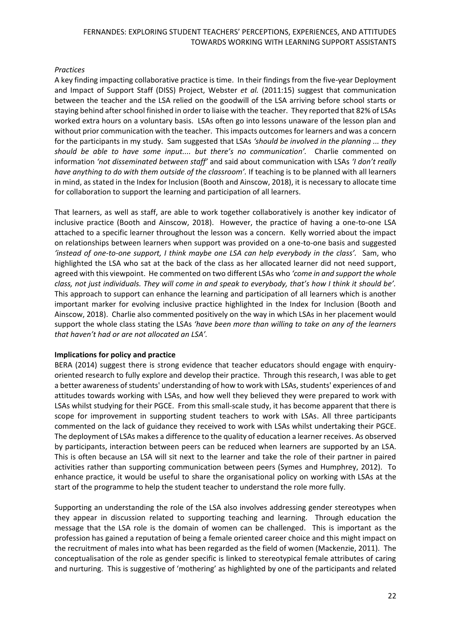# *Practices*

A key finding impacting collaborative practice is time. In their findings from the five-year Deployment and Impact of Support Staff (DISS) Project, Webster *et al.* (2011:15) suggest that communication between the teacher and the LSA relied on the goodwill of the LSA arriving before school starts or staying behind after school finished in order to liaise with the teacher. They reported that 82% of LSAs worked extra hours on a voluntary basis. LSAs often go into lessons unaware of the lesson plan and without prior communication with the teacher. This impacts outcomes for learners and was a concern for the participants in my study. Sam suggested that LSAs *'should be involved in the planning ... they should be able to have some input.... but there's no communication'.* Charlie commented on information *'not disseminated between staff'* and said about communication with LSAs *'I don't really have anything to do with them outside of the classroom'.* If teaching is to be planned with all learners in mind, as stated in the Index for Inclusion (Booth and Ainscow, 2018), it is necessary to allocate time for collaboration to support the learning and participation of all learners.

That learners, as well as staff, are able to work together collaboratively is another key indicator of inclusive practice (Booth and Ainscow, 2018). However, the practice of having a one-to-one LSA attached to a specific learner throughout the lesson was a concern. Kelly worried about the impact on relationships between learners when support was provided on a one-to-one basis and suggested *'instead of one-to-one support, I think maybe one LSA can help everybody in the class'.* Sam, who highlighted the LSA who sat at the back of the class as her allocated learner did not need support, agreed with this viewpoint. He commented on two different LSAs who *'come in and support the whole class, not just individuals. They will come in and speak to everybody, that's how I think it should be'.* This approach to support can enhance the learning and participation of all learners which is another important marker for evolving inclusive practice highlighted in the Index for Inclusion (Booth and Ainscow, 2018). Charlie also commented positively on the way in which LSAs in her placement would support the whole class stating the LSAs *'have been more than willing to take on any of the learners that haven't had or are not allocated an LSA'.*

#### **Implications for policy and practice**

BERA (2014) suggest there is strong evidence that teacher educators should engage with enquiryoriented research to fully explore and develop their practice. Through this research, I was able to get a better awareness of students' understanding of how to work with LSAs, students' experiences of and attitudes towards working with LSAs, and how well they believed they were prepared to work with LSAs whilst studying for their PGCE. From this small-scale study, it has become apparent that there is scope for improvement in supporting student teachers to work with LSAs. All three participants commented on the lack of guidance they received to work with LSAs whilst undertaking their PGCE. The deployment of LSAs makes a difference to the quality of education a learner receives. As observed by participants, interaction between peers can be reduced when learners are supported by an LSA. This is often because an LSA will sit next to the learner and take the role of their partner in paired activities rather than supporting communication between peers (Symes and Humphrey, 2012). To enhance practice, it would be useful to share the organisational policy on working with LSAs at the start of the programme to help the student teacher to understand the role more fully.

Supporting an understanding the role of the LSA also involves addressing gender stereotypes when they appear in discussion related to supporting teaching and learning. Through education the message that the LSA role is the domain of women can be challenged. This is important as the profession has gained a reputation of being a female oriented career choice and this might impact on the recruitment of males into what has been regarded as the field of women (Mackenzie, 2011). The conceptualisation of the role as gender specific is linked to stereotypical female attributes of caring and nurturing. This is suggestive of 'mothering' as highlighted by one of the participants and related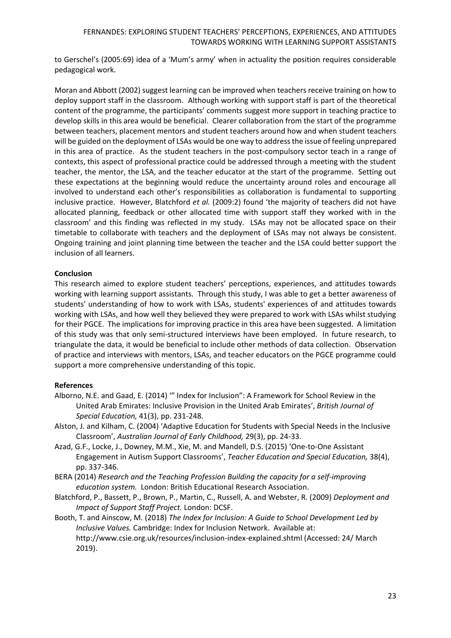to Gerschel's (2005:69) idea of a 'Mum's army' when in actuality the position requires considerable pedagogical work.

Moran and Abbott (2002) suggest learning can be improved when teachers receive training on how to deploy support staff in the classroom. Although working with support staff is part of the theoretical content of the programme, the participants' comments suggest more support in teaching practice to develop skills in this area would be beneficial. Clearer collaboration from the start of the programme between teachers, placement mentors and student teachers around how and when student teachers will be guided on the deployment of LSAs would be one way to address the issue of feeling unprepared in this area of practice. As the student teachers in the post-compulsory sector teach in a range of contexts, this aspect of professional practice could be addressed through a meeting with the student teacher, the mentor, the LSA, and the teacher educator at the start of the programme. Setting out these expectations at the beginning would reduce the uncertainty around roles and encourage all involved to understand each other's responsibilities as collaboration is fundamental to supporting inclusive practice. However, Blatchford *et al.* (2009:2) found 'the majority of teachers did not have allocated planning, feedback or other allocated time with support staff they worked with in the classroom' and this finding was reflected in my study. LSAs may not be allocated space on their timetable to collaborate with teachers and the deployment of LSAs may not always be consistent. Ongoing training and joint planning time between the teacher and the LSA could better support the inclusion of all learners.

# **Conclusion**

This research aimed to explore student teachers' perceptions, experiences, and attitudes towards working with learning support assistants. Through this study, I was able to get a better awareness of students' understanding of how to work with LSAs, students' experiences of and attitudes towards working with LSAs, and how well they believed they were prepared to work with LSAs whilst studying for their PGCE. The implications for improving practice in this area have been suggested. A limitation of this study was that only semi-structured interviews have been employed. In future research, to triangulate the data, it would be beneficial to include other methods of data collection. Observation of practice and interviews with mentors, LSAs, and teacher educators on the PGCE programme could support a more comprehensive understanding of this topic.

#### **References**

- Alborno, N.E. and Gaad, E. (2014) '" Index for Inclusion": A Framework for School Review in the United Arab Emirates: Inclusive Provision in the United Arab Emirates', *British Journal of Special Education,* 41(3), pp. 231-248.
- Alston, J. and Kilham, C. (2004) 'Adaptive Education for Students with Special Needs in the Inclusive Classroom', *Australian Journal of Early Childhood,* 29(3), pp. 24-33.
- Azad, G.F., Locke, J., Downey, M.M., Xie, M. and Mandell, D.S. (2015) 'One-to-One Assistant Engagement in Autism Support Classrooms', *Teacher Education and Special Education,* 38(4), pp. 337-346.
- BERA (2014) *Research and the Teaching Profession Building the capacity for a self-improving education system.* London: British Educational Research Association.
- Blatchford, P., Bassett, P., Brown, P., Martin, C., Russell, A. and Webster, R. (2009) *Deployment and Impact of Support Staff Project.* London: DCSF.
- Booth, T. and Ainscow, M. (2018) *The Index for Inclusion: A Guide to School Development Led by Inclusive Values.* Cambridge: Index for Inclusion Network. Available at: <http://www.csie.org.uk/resources/inclusion-index-explained.shtml> (Accessed: 24/ March 2019).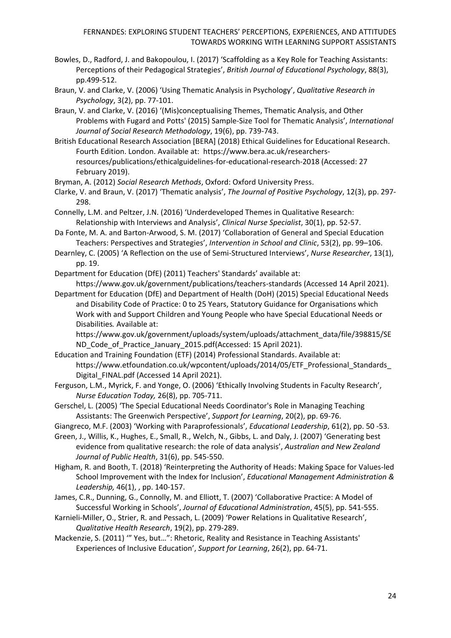- Bowles, D., Radford, J. and Bakopoulou, I. (2017) 'Scaffolding as a Key Role for Teaching Assistants: Perceptions of their Pedagogical Strategies', *British Journal of Educational Psychology*, 88(3), pp.499-512.
- Braun, V. and Clarke, V. (2006) 'Using Thematic Analysis in Psychology', *Qualitative Research in Psychology*, 3(2), pp. 77-101.
- Braun, V. and Clarke, V. (2016) '(Mis)conceptualising Themes, Thematic Analysis, and Other Problems with Fugard and Potts' (2015) Sample-Size Tool for Thematic Analysis', *International Journal of Social Research Methodology*, 19(6), pp. 739-743.
- British Educational Research Association [BERA] (2018) Ethical Guidelines for Educational Research. Fourth Edition. London. Available at: [https://www.bera.ac.uk/researchers](https://www.bera.ac.uk/researchers-resources/publications/ethicalguidelines-for-educational-research-2018)[resources/publications/ethicalguidelines-for-educational-research-2018](https://www.bera.ac.uk/researchers-resources/publications/ethicalguidelines-for-educational-research-2018) (Accessed: 27 February 2019).
- Bryman, A. (2012) *Social Research Methods*, Oxford: Oxford University Press.
- Clarke, V. and Braun, V. (2017) 'Thematic analysis', *The Journal of Positive Psychology*, 12(3), pp. 297- 298.
- Connelly, L.M. and Peltzer, J.N. (2016) 'Underdeveloped Themes in Qualitative Research: Relationship with Interviews and Analysis', *Clinical Nurse Specialist*, 30(1), pp. 52-57.
- Da Fonte, M. A. and Barton-Arwood, S. M. (2017) 'Collaboration of General and Special Education Teachers: Perspectives and Strategies', *Intervention in School and Clinic*, 53(2), pp. 99–106.
- Dearnley, C. (2005) 'A Reflection on the use of Semi-Structured Interviews', *Nurse Researcher*, 13(1), pp. 19.
- Department for Education (DfE) (2011) Teachers' Standards' available at:

<https://www.gov.uk/government/publications/teachers-standards> (Accessed 14 April 2021).

Department for Education (DfE) and Department of Health (DoH) (2015) Special Educational Needs and Disability Code of Practice: 0 to 25 Years, Statutory Guidance for Organisations which Work with and Support Children and Young People who have Special Educational Needs or Disabilities*.* Available at:

[https://www.gov.uk/government/uploads/system/uploads/attachment\\_data/file/398815/SE](https://www.gov.uk/government/uploads/system/uploads/attachment_data/file/398815/SEND_Code_of_Practice_January_2015.pdf) ND Code of Practice January 2015.pdf(Accessed: 15 April 2021).

- Education and Training Foundation (ETF) (2014) Professional Standards. Available at: https://www.etfoundation.co.uk/wpcontent/uploads/2014/05/ETF\_Professional\_Standards Digital FINAL.pdf (Accessed 14 April 2021).
- Ferguson, L.M., Myrick, F. and Yonge, O. (2006) 'Ethically Involving Students in Faculty Research', *Nurse Education Today,* 26(8), pp. 705-711.
- Gerschel, L. (2005) 'The Special Educational Needs Coordinator's Role in Managing Teaching Assistants: The Greenwich Perspective', *Support for Learning*, 20(2), pp. 69-76.
- Giangreco, M.F. (2003) 'Working with Paraprofessionals', *Educational Leadership*, 61(2), pp. 50 -53.
- Green, J., Willis, K., Hughes, E., Small, R., Welch, N., Gibbs, L. and Daly, J. (2007) 'Generating best evidence from qualitative research: the role of data analysis', *Australian and New Zealand Journal of Public Health*, 31(6), pp. 545-550.
- Higham, R. and Booth, T. (2018) 'Reinterpreting the Authority of Heads: Making Space for Values-led School Improvement with the Index for Inclusion', *Educational Management Administration & Leadership,* 46(1), , pp. 140-157.
- James, C.R., Dunning, G., Connolly, M. and Elliott, T. (2007) 'Collaborative Practice: A Model of Successful Working in Schools', *Journal of Educational Administration*, 45(5), pp. 541-555.
- Karnieli-Miller, O., Strier, R. and Pessach, L. (2009) 'Power Relations in Qualitative Research', *Qualitative Health Research*, 19(2), pp. 279-289.
- Mackenzie, S. (2011) '" Yes, but…": Rhetoric, Reality and Resistance in Teaching Assistants' Experiences of Inclusive Education', *Support for Learning*, 26(2), pp. 64-71.